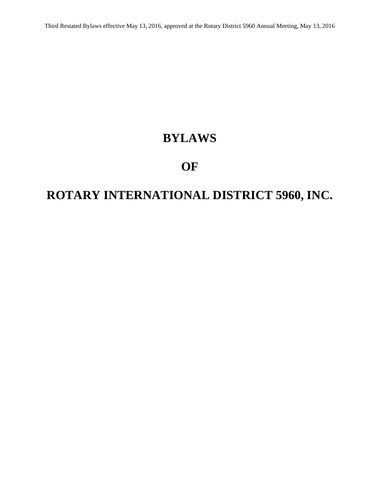# **BYLAWS**

# **OF**

# **ROTARY INTERNATIONAL DISTRICT 5960, INC.**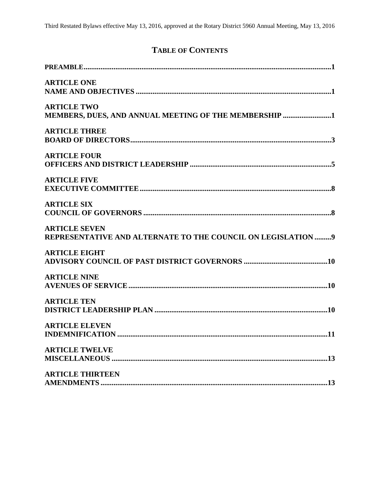# **TABLE OF CONTENTS**

| <b>ARTICLE ONE</b>                                           |
|--------------------------------------------------------------|
|                                                              |
| <b>ARTICLE TWO</b>                                           |
| MEMBERS, DUES, AND ANNUAL MEETING OF THE MEMBERSHIP 1        |
| <b>ARTICLE THREE</b>                                         |
|                                                              |
| <b>ARTICLE FOUR</b>                                          |
|                                                              |
| <b>ARTICLE FIVE</b>                                          |
|                                                              |
| <b>ARTICLE SIX</b>                                           |
|                                                              |
| <b>ARTICLE SEVEN</b>                                         |
| REPRESENTATIVE AND ALTERNATE TO THE COUNCIL ON LEGISLATION 9 |
| <b>ARTICLE EIGHT</b>                                         |
|                                                              |
| <b>ARTICLE NINE</b>                                          |
|                                                              |
| <b>ARTICLE TEN</b>                                           |
|                                                              |
| <b>ARTICLE ELEVEN</b>                                        |
|                                                              |
| <b>ARTICLE TWELVE</b>                                        |
|                                                              |
| <b>ARTICLE THIRTEEN</b>                                      |
|                                                              |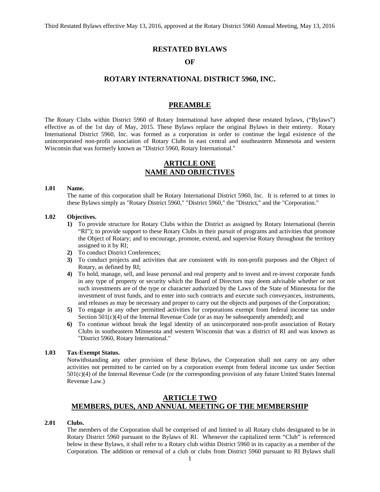# **RESTATED BYLAWS**

## **OF**

#### **ROTARY INTERNATIONAL DISTRICT 5960, INC.**

### **PREAMBLE**

The Rotary Clubs within District 5960 of Rotary International have adopted these restated bylaws, ("Bylaws") effective as of the 1st day of May, 2015. These Bylaws replace the original Bylaws in their entirety. Rotary International District 5960, Inc. was formed as a corporation in order to continue the legal existence of the unincorporated non-profit association of Rotary Clubs in east central and southeastern Minnesota and western Wisconsin that was formerly known as "District 5960, Rotary International."

# **ARTICLE ONE NAME AND OBJECTIVES**

#### **1.01 Name.**

The name of this corporation shall be Rotary International District 5960, Inc. It is referred to at times in these Bylaws simply as "Rotary District 5960," "District 5960," the "District," and the "Corporation."

#### **1.02 Objectives.**

- **1)** To provide structure for Rotary Clubs within the District as assigned by Rotary International (herein "RI"); to provide support to these Rotary Clubs in their pursuit of programs and activities that promote the Object of Rotary; and to encourage, promote, extend, and supervise Rotary throughout the territory assigned to it by RI;
- **2)** To conduct District Conferences;
- **3)** To conduct projects and activities that are consistent with its non-profit purposes and the Object of Rotary, as defined by RI;
- **4)** To hold, manage, sell, and lease personal and real property and to invest and re-invest corporate funds in any type of property or security which the Board of Directors may deem advisable whether or not such investments are of the type or character authorized by the Laws of the State of Minnesota for the investment of trust funds, and to enter into such contracts and execute such conveyances, instruments, and releases as may be necessary and proper to carry out the objects and purposes of the Corporation;
- **5)** To engage in any other permitted activities for corporations exempt from federal income tax under Section  $501(c)(4)$  of the Internal Revenue Code (or as may be subsequently amended); and
- **6)** To continue without break the legal identity of an unincorporated non-profit association of Rotary Clubs in southeastern Minnesota and western Wisconsin that was a district of RI and was known as "District 5960, Rotary International."

#### **1.03 Tax-Exempt Status.**

Notwithstanding any other provision of these Bylaws, the Corporation shall not carry on any other activities not permitted to be carried on by a corporation exempt from federal income tax under Section 501(c)(4) of the Internal Revenue Code (or the corresponding provision of any future United States Internal Revenue Law.)

# **ARTICLE TWO MEMBERS, DUES, AND ANNUAL MEETING OF THE MEMBERSHIP**

#### **2.01 Clubs.**

The members of the Corporation shall be comprised of and limited to all Rotary clubs designated to be in Rotary District 5960 pursuant to the Bylaws of RI. Whenever the capitalized term "Club" is referenced below in these Bylaws, it shall refer to a Rotary club within District 5960 in its capacity as a member of the Corporation. The addition or removal of a club or clubs from District 5960 pursuant to RI Bylaws shall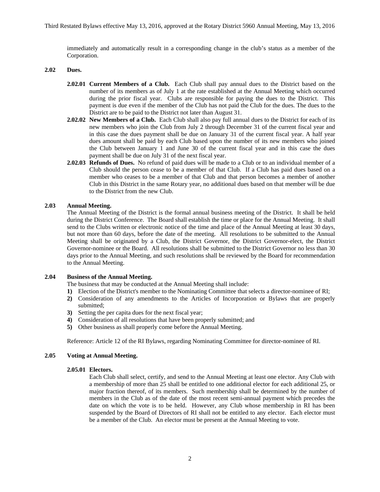immediately and automatically result in a corresponding change in the club's status as a member of the Corporation.

#### **2.02 Dues.**

- **2.02.01 Current Members of a Club.** Each Club shall pay annual dues to the District based on the number of its members as of July 1 at the rate established at the Annual Meeting which occurred during the prior fiscal year. Clubs are responsible for paying the dues to the District. This payment is due even if the member of the Club has not paid the Club for the dues. The dues to the District are to be paid to the District not later than August 31.
- **2.02.02 New Members of a Club.** Each Club shall also pay full annual dues to the District for each of its new members who join the Club from July 2 through December 31 of the current fiscal year and in this case the dues payment shall be due on January 31 of the current fiscal year. A half year dues amount shall be paid by each Club based upon the number of its new members who joined the Club between January 1 and June 30 of the current fiscal year and in this case the dues payment shall be due on July 31 of the next fiscal year.
- **2.02.03 Refunds of Dues.** No refund of paid dues will be made to a Club or to an individual member of a Club should the person cease to be a member of that Club. If a Club has paid dues based on a member who ceases to be a member of that Club and that person becomes a member of another Club in this District in the same Rotary year, no additional dues based on that member will be due to the District from the new Club.

#### **2.03 Annual Meeting.**

The Annual Meeting of the District is the formal annual business meeting of the District. It shall be held during the District Conference. The Board shall establish the time or place for the Annual Meeting. It shall send to the Clubs written or electronic notice of the time and place of the Annual Meeting at least 30 days, but not more than 60 days, before the date of the meeting. All resolutions to be submitted to the Annual Meeting shall be originated by a Club, the District Governor, the District Governor-elect, the District Governor-nominee or the Board. All resolutions shall be submitted to the District Governor no less than 30 days prior to the Annual Meeting, and such resolutions shall be reviewed by the Board for recommendation to the Annual Meeting.

#### **2.04 Business of the Annual Meeting.**

The business that may be conducted at the Annual Meeting shall include:

- **1)** Election of the District's member to the Nominating Committee that selects a director-nominee of RI;
- **2)** Consideration of any amendments to the Articles of Incorporation or Bylaws that are properly submitted;
- **3)** Setting the per capita dues for the next fiscal year;
- **4)** Consideration of all resolutions that have been properly submitted; and
- **5)** Other business as shall properly come before the Annual Meeting.

Reference: Article 12 of the RI Bylaws, regarding Nominating Committee for director-nominee of RI.

#### **2.05 Voting at Annual Meeting.**

#### **2.05.01 Electors.**

Each Club shall select, certify, and send to the Annual Meeting at least one elector. Any Club with a membership of more than 25 shall be entitled to one additional elector for each additional 25, or major fraction thereof, of its members. Such membership shall be determined by the number of members in the Club as of the date of the most recent semi-annual payment which precedes the date on which the vote is to be held. However, any Club whose membership in RI has been suspended by the Board of Directors of RI shall not be entitled to any elector. Each elector must be a member of the Club. An elector must be present at the Annual Meeting to vote.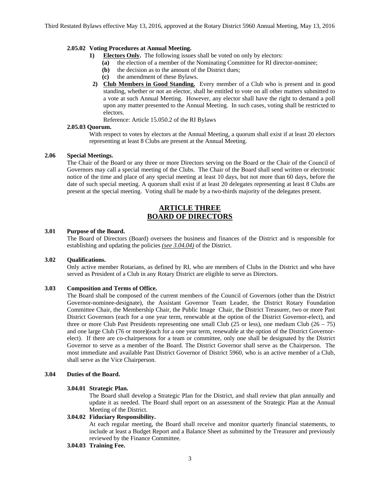#### **2.05.02 Voting Procedures at Annual Meeting.**

- **1) Electors Only.** The following issues shall be voted on only by electors:
	- **(a)** the election of a member of the Nominating Committee for RI director-nominee;
	- **(b)** the decision as to the amount of the District dues;
	- **(c)** the amendment of these Bylaws.
- **2) Club Members in Good Standing.** Every member of a Club who is present and in good standing, whether or not an elector, shall be entitled to vote on all other matters submitted to a vote at such Annual Meeting. However, any elector shall have the right to demand a poll upon any matter presented to the Annual Meeting. In such cases, voting shall be restricted to electors.

Reference: Article 15.050.2 of the RI Bylaws

#### **2.05.03 Quorum.**

With respect to votes by electors at the Annual Meeting, a quorum shall exist if at least 20 electors representing at least 8 Clubs are present at the Annual Meeting.

#### **2.06 Special Meetings.**

The Chair of the Board or any three or more Directors serving on the Board or the Chair of the Council of Governors may call a special meeting of the Clubs. The Chair of the Board shall send written or electronic notice of the time and place of any special meeting at least 10 days, but not more than 60 days, before the date of such special meeting. A quorum shall exist if at least 20 delegates representing at least 8 Clubs are present at the special meeting. Voting shall be made by a two-thirds majority of the delegates present.

# **ARTICLE THREE BOARD OF DIRECTORS**

#### **3.01 Purpose of the Board.**

The Board of Directors (Board) oversees the business and finances of the District and is responsible for establishing and updating the policies *(see 3.04.04)* of the District.

#### **3.02 Qualifications.**

Only active member Rotarians, as defined by RI, who are members of Clubs in the District and who have served as President of a Club in any Rotary District are eligible to serve as Directors.

#### **3.03 Composition and Terms of Office.**

The Board shall be composed of the current members of the Council of Governors (other than the District Governor-nominee-designate), the Assistant Governor Team Leader, the District Rotary Foundation Committee Chair, the Membership Chair, the Public Image Chair, the District Treasurer, two or more Past District Governors (each for a one year term, renewable at the option of the District Governor-elect), and three or more Club Past Presidents representing one small Club (25 or less), one medium Club (26 – 75) and one large Club (76 or more)(each for a one year term, renewable at the option of the District Governorelect). If there are co-chairpersons for a team or committee, only one shall be designated by the District Governor to serve as a member of the Board. The District Governor shall serve as the Chairperson. The most immediate and available Past District Governor of District 5960, who is an active member of a Club, shall serve as the Vice Chairperson.

#### **3.04 Duties of the Board.**

#### **3.04.01 Strategic Plan.**

The Board shall develop a Strategic Plan for the District, and shall review that plan annually and update it as needed. The Board shall report on an assessment of the Strategic Plan at the Annual Meeting of the District.

#### **3.04.02 Fiduciary Responsibility.**

At each regular meeting, the Board shall receive and monitor quarterly financial statements, to include at least a Budget Report and a Balance Sheet as submitted by the Treasurer and previously reviewed by the Finance Committee.

#### **3.04.03 Training Fee.**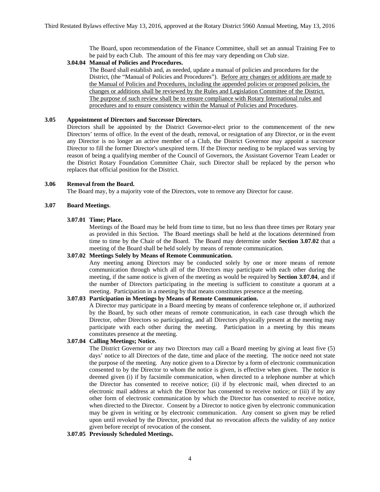The Board, upon recommendation of the Finance Committee, shall set an annual Training Fee to be paid by each Club. The amount of this fee may vary depending on Club size.

#### **3.04.04 Manual of Policies and Procedures.**

The Board shall establish and, as needed, update a manual of policies and procedures for the District, (the "Manual of Policies and Procedures"). Before any changes or additions are made to the Manual of Policies and Procedures, including the appended policies or proposed policies, the changes or additions shall be reviewed by the Rules and Legislation Committee of the District. The purpose of such review shall be to ensure compliance with Rotary International rules and procedures and to ensure consistency within the Manual of Policies and Procedures.

#### **3.05 Appointment of Directors and Successor Directors.**

Directors shall be appointed by the District Governor-elect prior to the commencement of the new Directors' terms of office. In the event of the death, removal, or resignation of any Director, or in the event any Director is no longer an active member of a Club, the District Governor may appoint a successor Director to fill the former Director's unexpired term. If the Director needing to be replaced was serving by reason of being a qualifying member of the Council of Governors, the Assistant Governor Team Leader or the District Rotary Foundation Committee Chair, such Director shall be replaced by the person who replaces that official position for the District.

#### **3.06 Removal from the Board.**

The Board may, by a majority vote of the Directors, vote to remove any Director for cause.

#### **3.07 Board Meetings**.

#### **3.07.01 Time; Place.**

Meetings of the Board may be held from time to time, but no less than three times per Rotary year as provided in this Section. The Board meetings shall be held at the locations determined from time to time by the Chair of the Board. The Board may determine under **Section 3.07.02** that a meeting of the Board shall be held solely by means of remote communication.

#### **3.07.02 Meetings Solely by Means of Remote Communication.**

Any meeting among Directors may be conducted solely by one or more means of remote communication through which all of the Directors may participate with each other during the meeting, if the same notice is given of the meeting as would be required by **Section 3.07.04**, and if the number of Directors participating in the meeting is sufficient to constitute a quorum at a meeting. Participation in a meeting by that means constitutes presence at the meeting.

#### **3.07.03 Participation in Meetings by Means of Remote Communication.**

A Director may participate in a Board meeting by means of conference telephone or, if authorized by the Board, by such other means of remote communication, in each case through which the Director, other Directors so participating, and all Directors physically present at the meeting may participate with each other during the meeting. Participation in a meeting by this means constitutes presence at the meeting.

#### **3.07.04 Calling Meetings; Notice.**

The District Governor or any two Directors may call a Board meeting by giving at least five (5) days' notice to all Directors of the date, time and place of the meeting. The notice need not state the purpose of the meeting. Any notice given to a Director by a form of electronic communication consented to by the Director to whom the notice is given, is effective when given. The notice is deemed given (i) if by facsimile communication, when directed to a telephone number at which the Director has consented to receive notice; (ii) if by electronic mail, when directed to an electronic mail address at which the Director has consented to receive notice; or (iii) if by any other form of electronic communication by which the Director has consented to receive notice, when directed to the Director. Consent by a Director to notice given by electronic communication may be given in writing or by electronic communication. Any consent so given may be relied upon until revoked by the Director, provided that no revocation affects the validity of any notice given before receipt of revocation of the consent.

#### **3.07.05 Previously Scheduled Meetings.**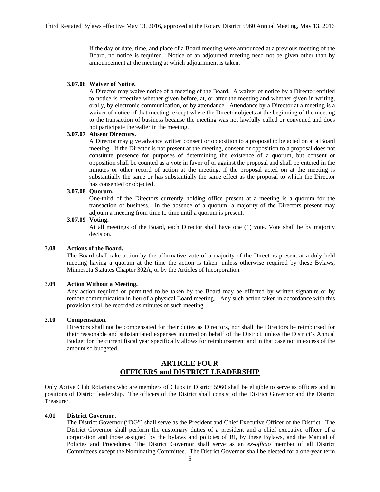If the day or date, time, and place of a Board meeting were announced at a previous meeting of the Board, no notice is required. Notice of an adjourned meeting need not be given other than by announcement at the meeting at which adjournment is taken.

#### **3.07.06 Waiver of Notice.**

A Director may waive notice of a meeting of the Board. A waiver of notice by a Director entitled to notice is effective whether given before, at, or after the meeting and whether given in writing, orally, by electronic communication, or by attendance. Attendance by a Director at a meeting is a waiver of notice of that meeting, except where the Director objects at the beginning of the meeting to the transaction of business because the meeting was not lawfully called or convened and does not participate thereafter in the meeting.

#### **3.07.07 Absent Directors.**

A Director may give advance written consent or opposition to a proposal to be acted on at a Board meeting. If the Director is not present at the meeting, consent or opposition to a proposal does not constitute presence for purposes of determining the existence of a quorum, but consent or opposition shall be counted as a vote in favor of or against the proposal and shall be entered in the minutes or other record of action at the meeting, if the proposal acted on at the meeting is substantially the same or has substantially the same effect as the proposal to which the Director has consented or objected.

#### **3.07.08 Quorum.**

One-third of the Directors currently holding office present at a meeting is a quorum for the transaction of business. In the absence of a quorum, a majority of the Directors present may adjourn a meeting from time to time until a quorum is present.

#### **3.07.09 Voting.**

At all meetings of the Board, each Director shall have one (1) vote. Vote shall be by majority decision.

#### **3.08 Actions of the Board.**

The Board shall take action by the affirmative vote of a majority of the Directors present at a duly held meeting having a quorum at the time the action is taken, unless otherwise required by these Bylaws, Minnesota Statutes Chapter 302A, or by the Articles of Incorporation.

#### **3.09 Action Without a Meeting.**

Any action required or permitted to be taken by the Board may be effected by written signature or by remote communication in lieu of a physical Board meeting. Any such action taken in accordance with this provision shall be recorded as minutes of such meeting.

#### **3.10 Compensation.**

Directors shall not be compensated for their duties as Directors, nor shall the Directors be reimbursed for their reasonable and substantiated expenses incurred on behalf of the District, unless the District's Annual Budget for the current fiscal year specifically allows for reimbursement and in that case not in excess of the amount so budgeted.

# **ARTICLE FOUR OFFICERS and DISTRICT LEADERSHIP**

Only Active Club Rotarians who are members of Clubs in District 5960 shall be eligible to serve as officers and in positions of District leadership. The officers of the District shall consist of the District Governor and the District Treasurer.

#### **4.01 District Governor.**

The District Governor ("DG") shall serve as the President and Chief Executive Officer of the District. The District Governor shall perform the customary duties of a president and a chief executive officer of a corporation and those assigned by the bylaws and policies of RI, by these Bylaws, and the Manual of Policies and Procedures. The District Governor shall serve as an *ex-officio* member of all District Committees except the Nominating Committee. The District Governor shall be elected for a one-year term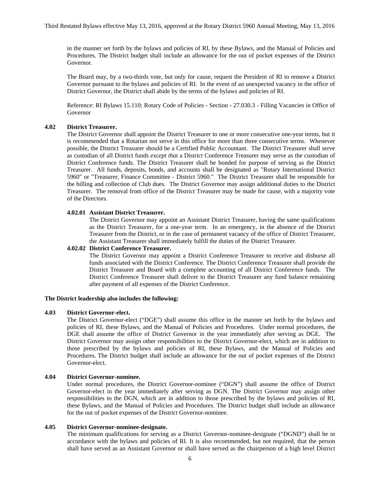in the manner set forth by the bylaws and policies of RI, by these Bylaws, and the Manual of Policies and Procedures. The District budget shall include an allowance for the out of pocket expenses of the District Governor.

The Board may, by a two-thirds vote, but only for cause, request the President of RI to remove a District Governor pursuant to the bylaws and policies of RI. In the event of an unexpected vacancy in the office of District Governor, the District shall abide by the terms of the bylaws and policies of RI.

Reference: RI Bylaws 15.110; Rotary Code of Policies - Section - 27.030.3 - Filling Vacancies in Office of Governor

#### **4.02 District Treasurer.**

The District Governor shall appoint the District Treasurer to one or more consecutive one-year terms, but it is recommended that a Rotarian not serve in this office for more than three consecutive terms. Whenever possible, the District Treasurer should be a Certified Public Accountant. The District Treasurer shall serve as custodian of all District funds *except that* a District Conference Treasurer may serve as the custodian of District Conference funds. The District Treasurer shall be bonded for purpose of serving as the District Treasurer. All funds, deposits, bonds, and accounts shall be designated as "Rotary International District 5960" or "Treasurer, Finance Committee - District 5960." The District Treasurer shall be responsible for the billing and collection of Club dues. The District Governor may assign additional duties to the District Treasurer. The removal from office of the District Treasurer may be made for cause, with a majority vote of the Directors.

#### **4.02.01 Assistant District Treasurer.**

The District Governor may appoint an Assistant District Treasurer, having the same qualifications as the District Treasurer, for a one-year term. In an emergency, in the absence of the District Treasurer from the District, or in the case of permanent vacancy of the office of District Treasurer, the Assistant Treasurer shall immediately fulfill the duties of the District Treasurer.

#### **4.02.02 District Conference Treasurer.**

The District Governor may appoint a District Conference Treasurer to receive and disburse all funds associated with the District Conference. The District Conference Treasurer shall provide the District Treasurer and Board with a complete accounting of all District Conference funds. The District Conference Treasurer shall deliver to the District Treasurer any fund balance remaining after payment of all expenses of the District Conference.

#### **The District leadership also includes the following:**

#### **4.03 District Governor-elect.**

The District Governor-elect ("DGE") shall assume this office in the manner set forth by the bylaws and policies of RI, these Bylaws, and the Manual of Policies and Procedures. Under normal procedures, the DGE shall assume the office of District Governor in the year immediately after serving as DGE. The District Governor may assign other responsibilities to the District Governor-elect, which are in addition to those prescribed by the bylaws and policies of RI, these Bylaws, and the Manual of Policies and Procedures. The District budget shall include an allowance for the out of pocket expenses of the District Governor-elect.

#### **4.04 District Governor-nominee.**

Under normal procedures, the District Governor-nominee ("DGN") shall assume the office of District Governor-elect in the year immediately after serving as DGN. The District Governor may assign other responsibilities to the DGN, which are in addition to those prescribed by the bylaws and policies of RI, these Bylaws, and the Manual of Policies and Procedures. The District budget shall include an allowance for the out of pocket expenses of the District Governor-nominee.

#### **4.05 District Governor-nominee-designate.**

The minimum qualifications for serving as a District Governor-nominee-designate ("DGND") shall be in accordance with the bylaws and policies of RI. It is also recommended, but not required, that the person shall have served as an Assistant Governor or shall have served as the chairperson of a high level District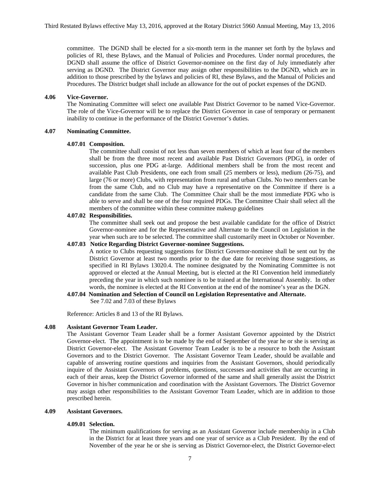committee. The DGND shall be elected for a six-month term in the manner set forth by the bylaws and policies of RI, these Bylaws, and the Manual of Policies and Procedures. Under normal procedures, the DGND shall assume the office of District Governor-nominee on the first day of July immediately after serving as DGND. The District Governor may assign other responsibilities to the DGND, which are in addition to those prescribed by the bylaws and policies of RI, these Bylaws, and the Manual of Policies and Procedures. The District budget shall include an allowance for the out of pocket expenses of the DGND.

#### **4.06 Vice-Governor.**

The Nominating Committee will select one available Past District Governor to be named Vice-Governor. The role of the Vice-Governor will be to replace the District Governor in case of temporary or permanent inability to continue in the performance of the District Governor's duties.

#### **4.07 Nominating Committee.**

#### **4.07.01 Composition.**

The committee shall consist of not less than seven members of which at least four of the members shall be from the three most recent and available Past District Governors (PDG), in order of succession, plus one PDG at-large. Additional members shall be from the most recent and available Past Club Presidents, one each from small (25 members or less), medium (26-75), and large (76 or more) Clubs, with representation from rural and urban Clubs. No two members can be from the same Club, and no Club may have a representative on the Committee if there is a candidate from the same Club. The Committee Chair shall be the most immediate PDG who is able to serve and shall be one of the four required PDGs. The Committee Chair shall select all the members of the committee within these committee makeup guidelines

#### **4.07.02 Responsibilities.**

The committee shall seek out and propose the best available candidate for the office of District Governor-nominee and for the Representative and Alternate to the Council on Legislation in the year when such are to be selected. The committee shall customarily meet in October or November.

#### **4.07.03 Notice Regarding District Governor-nominee Suggestions.**

A notice to Clubs requesting suggestions for District Governor-nominee shall be sent out by the District Governor at least two months prior to the due date for receiving those suggestions, as specified in RI Bylaws 13020.4. The nominee designated by the Nominating Committee is not approved or elected at the Annual Meeting, but is elected at the RI Convention held immediately preceding the year in which such nominee is to be trained at the International Assembly. In other words, the nominee is elected at the RI Convention at the end of the nominee's year as the DGN.

#### **4.07.04 Nomination and Selection of Council on Legislation Representative and Alternate.** See 7.02 and 7.03 of these Bylaws

Reference: Articles 8 and 13 of the RI Bylaws.

#### **4.08 Assistant Governor Team Leader.**

The Assistant Governor Team Leader shall be a former Assistant Governor appointed by the District Governor-elect. The appointment is to be made by the end of September of the year he or she is serving as District Governor-elect. The Assistant Governor Team Leader is to be a resource to both the Assistant Governors and to the District Governor. The Assistant Governor Team Leader, should be available and capable of answering routine questions and inquiries from the Assistant Governors, should periodically inquire of the Assistant Governors of problems, questions, successes and activities that are occurring in each of their areas, keep the District Governor informed of the same and shall generally assist the District Governor in his/her communication and coordination with the Assistant Governors. The District Governor may assign other responsibilities to the Assistant Governor Team Leader, which are in addition to those prescribed herein.

#### **4.09 Assistant Governors.**

#### **4.09.01 Selection.**

The minimum qualifications for serving as an Assistant Governor include membership in a Club in the District for at least three years and one year of service as a Club President. By the end of November of the year he or she is serving as District Governor-elect, the District Governor-elect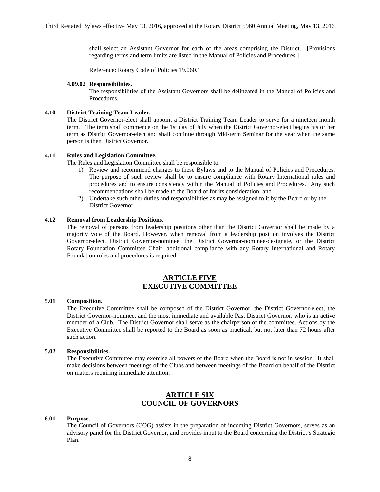shall select an Assistant Governor for each of the areas comprising the District. [Provisions regarding terms and term limits are listed in the Manual of Policies and Procedures.]

Reference: Rotary Code of Policies 19.060.1

#### **4.09.02 Responsibilities.**

The responsibilities of the Assistant Governors shall be delineated in the Manual of Policies and Procedures.

#### **4.10 District Training Team Leader.**

The District Governor-elect shall appoint a District Training Team Leader to serve for a nineteen month term. The term shall commence on the 1st day of July when the District Governor-elect begins his or her term as District Governor-elect and shall continue through Mid-term Seminar for the year when the same person is then District Governor.

#### **4.11 Rules and Legislation Committee.**

The Rules and Legislation Committee shall be responsible to:

- 1) Review and recommend changes to these Bylaws and to the Manual of Policies and Procedures. The purpose of such review shall be to ensure compliance with Rotary International rules and procedures and to ensure consistency within the Manual of Policies and Procedures. Any such recommendations shall be made to the Board of for its consideration; and
- 2) Undertake such other duties and responsibilities as may be assigned to it by the Board or by the District Governor.

#### **4.12 Removal from Leadership Positions.**

The removal of persons from leadership positions other than the District Governor shall be made by a majority vote of the Board. However, when removal from a leadership position involves the District Governor-elect, District Governor-nominee, the District Governor-nominee-designate, or the District Rotary Foundation Committee Chair, additional compliance with any Rotary International and Rotary Foundation rules and procedures is required.

# **ARTICLE FIVE EXECUTIVE COMMITTEE**

#### **5.01 Composition.**

 The Executive Committee shall be composed of the District Governor, the District Governor-elect, the District Governor-nominee, and the most immediate and available Past District Governor, who is an active member of a Club. The District Governor shall serve as the chairperson of the committee. Actions by the Executive Committee shall be reported to the Board as soon as practical, but not later than 72 hours after such action.

#### **5.02 Responsibilities.**

 The Executive Committee may exercise all powers of the Board when the Board is not in session. It shall make decisions between meetings of the Clubs and between meetings of the Board on behalf of the District on matters requiring immediate attention.

# **ARTICLE SIX COUNCIL OF GOVERNORS**

#### **6.01 Purpose.**

The Council of Governors (COG) assists in the preparation of incoming District Governors, serves as an advisory panel for the District Governor, and provides input to the Board concerning the District's Strategic Plan.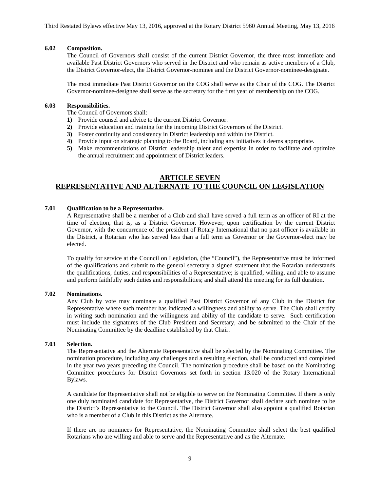#### **6.02 Composition.**

The Council of Governors shall consist of the current District Governor, the three most immediate and available Past District Governors who served in the District and who remain as active members of a Club, the District Governor-elect, the District Governor-nominee and the District Governor-nominee-designate.

The most immediate Past District Governor on the COG shall serve as the Chair of the COG. The District Governor-nominee-designee shall serve as the secretary for the first year of membership on the COG.

#### **6.03 Responsibilities.**

The Council of Governors shall:

- **1)** Provide counsel and advice to the current District Governor.
- **2)** Provide education and training for the incoming District Governors of the District.
- **3)** Foster continuity and consistency in District leadership and within the District.
- **4)** Provide input on strategic planning to the Board, including any initiatives it deems appropriate.
- **5)** Make recommendations of District leadership talent and expertise in order to facilitate and optimize the annual recruitment and appointment of District leaders.

# **ARTICLE SEVEN REPRESENTATIVE AND ALTERNATE TO THE COUNCIL ON LEGISLATION**

#### **7.01 Qualification to be a Representative.**

A Representative shall be a member of a Club and shall have served a full term as an officer of RI at the time of election, that is, as a District Governor. However, upon certification by the current District Governor, with the concurrence of the president of Rotary International that no past officer is available in the District, a Rotarian who has served less than a full term as Governor or the Governor-elect may be elected.

To qualify for service at the Council on Legislation, (the "Council"), the Representative must be informed of the qualifications and submit to the general secretary a signed statement that the Rotarian understands the qualifications, duties, and responsibilities of a Representative; is qualified, willing, and able to assume and perform faithfully such duties and responsibilities; and shall attend the meeting for its full duration.

#### **7.02 Nominations.**

Any Club by vote may nominate a qualified Past District Governor of any Club in the District for Representative where such member has indicated a willingness and ability to serve. The Club shall certify in writing such nomination and the willingness and ability of the candidate to serve. Such certification must include the signatures of the Club President and Secretary, and be submitted to the Chair of the Nominating Committee by the deadline established by that Chair.

#### **7.03 Selection.**

The Representative and the Alternate Representative shall be selected by the Nominating Committee. The nomination procedure, including any challenges and a resulting election, shall be conducted and completed in the year two years preceding the Council. The nomination procedure shall be based on the Nominating Committee procedures for District Governors set forth in section 13.020 of the Rotary International Bylaws.

A candidate for Representative shall not be eligible to serve on the Nominating Committee. If there is only one duly nominated candidate for Representative, the District Governor shall declare such nominee to be the District's Representative to the Council. The District Governor shall also appoint a qualified Rotarian who is a member of a Club in this District as the Alternate.

If there are no nominees for Representative, the Nominating Committee shall select the best qualified Rotarians who are willing and able to serve and the Representative and as the Alternate.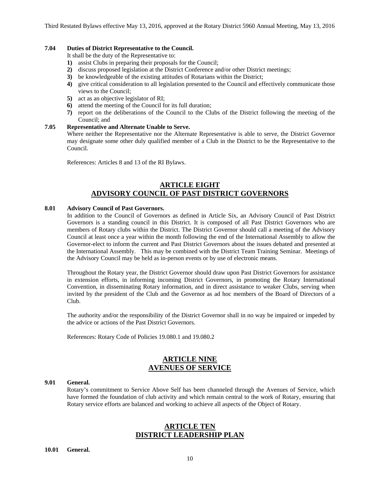Third Restated Bylaws effective May 13, 2016, approved at the Rotary District 5960 Annual Meeting, May 13, 2016

#### **7.04 Duties of District Representative to the Council.**

It shall be the duty of the Representative to:

- **1)** assist Clubs in preparing their proposals for the Council;
- **2)** discuss proposed legislation at the District Conference and/or other District meetings;
- **3)** be knowledgeable of the existing attitudes of Rotarians within the District;
- **4)** give critical consideration to all legislation presented to the Council and effectively communicate those views to the Council;
- **5)** act as an objective legislator of RI;
- **6)** attend the meeting of the Council for its full duration;
- **7)** report on the deliberations of the Council to the Clubs of the District following the meeting of the Council; and

#### **7.05 Representative and Alternate Unable to Serve.**

Where neither the Representative nor the Alternate Representative is able to serve, the District Governor may designate some other duly qualified member of a Club in the District to be the Representative to the Council.

References: Articles 8 and 13 of the RI Bylaws.

# **ARTICLE EIGHT ADVISORY COUNCIL OF PAST DISTRICT GOVERNORS**

#### **8.01 Advisory Council of Past Governors.**

In addition to the Council of Governors as defined in Article Six, an Advisory Council of Past District Governors is a standing council in this District. It is composed of all Past District Governors who are members of Rotary clubs within the District. The District Governor should call a meeting of the Advisory Council at least once a year within the month following the end of the International Assembly to allow the Governor-elect to inform the current and Past District Governors about the issues debated and presented at the International Assembly. This may be combined with the District Team Training Seminar. Meetings of the Advisory Council may be held as in-person events or by use of electronic means.

Throughout the Rotary year, the District Governor should draw upon Past District Governors for assistance in extension efforts, in informing incoming District Governors, in promoting the Rotary International Convention, in disseminating Rotary information, and in direct assistance to weaker Clubs, serving when invited by the president of the Club and the Governor as ad hoc members of the Board of Directors of a Club.

The authority and/or the responsibility of the District Governor shall in no way be impaired or impeded by the advice or actions of the Past District Governors.

References: Rotary Code of Policies 19.080.1 and 19.080.2

# **ARTICLE NINE AVENUES OF SERVICE**

#### **9.01 General.**

Rotary's commitment to Service Above Self has been channeled through the Avenues of Service, which have formed the foundation of club activity and which remain central to the work of Rotary, ensuring that Rotary service efforts are balanced and working to achieve all aspects of the Object of Rotary.

# **ARTICLE TEN DISTRICT LEADERSHIP PLAN**

#### **10.01 General.**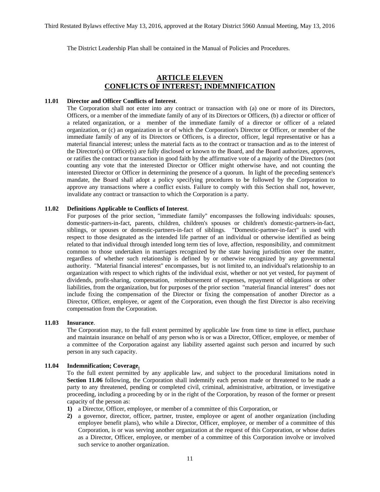The District Leadership Plan shall be contained in the Manual of Policies and Procedures.

# **ARTICLE ELEVEN CONFLICTS OF INTEREST; INDEMNIFICATION**

#### **11.01 Director and Officer Conflicts of Interest**.

The Corporation shall not enter into any contract or transaction with (a) one or more of its Directors, Officers, or a member of the immediate family of any of its Directors or Officers, (b) a director or officer of a related organization, or a member of the immediate family of a director or officer of a related organization, or (c) an organization in or of which the Corporation's Director or Officer, or member of the immediate family of any of its Directors or Officers, is a director, officer, legal representative or has a material financial interest; unless the material facts as to the contract or transaction and as to the interest of the Director(s) or Officer(s) are fully disclosed or known to the Board, and the Board authorizes, approves, or ratifies the contract or transaction in good faith by the affirmative vote of a majority of the Directors (not counting any vote that the interested Director or Officer might otherwise have, and not counting the interested Director or Officer in determining the presence of a quorum. In light of the preceding sentence's mandate, the Board shall adopt a policy specifying procedures to be followed by the Corporation to approve any transactions where a conflict exists. Failure to comply with this Section shall not, however, invalidate any contract or transaction to which the Corporation is a party.

#### **11.02 Definitions Applicable to Conflicts of Interest**.

For purposes of the prior section, "immediate family'' encompasses the following individuals: spouses, domestic-partners-in-fact, parents, children, children's spouses or children's domestic-partners-in-fact, siblings, or spouses or domestic-partners-in-fact of siblings. "Domestic-partner-in-fact" is used with respect to those designated as the intended life partner of an individual or otherwise identified as being related to that individual through intended long term ties of love, affection, responsibility, and commitment common to those undertaken in marriages recognized by the state having jurisdiction over the matter, regardless of whether such relationship is defined by or otherwise recognized by any governmental authority. "Material financial interest" encompasses, but is not limited to, an individual's relationship to an organization with respect to which rights of the individual exist, whether or not yet vested, for payment of dividends, profit-sharing, compensation, reimbursement of expenses, repayment of obligations or other liabilities, from the organization, but for purposes of the prior section "material financial interest" does not include fixing the compensation of the Director or fixing the compensation of another Director as a Director, Officer, employee, or agent of the Corporation, even though the first Director is also receiving compensation from the Corporation.

#### **11.03 Insurance**.

The Corporation may, to the full extent permitted by applicable law from time to time in effect, purchase and maintain insurance on behalf of any person who is or was a Director, Officer, employee, or member of a committee of the Corporation against any liability asserted against such person and incurred by such person in any such capacity.

#### **11.04 Indemnification; Coverage.**

To the full extent permitted by any applicable law, and subject to the procedural limitations noted in **Section 11.06** following, the Corporation shall indemnify each person made or threatened to be made a party to any threatened, pending or completed civil, criminal, administrative, arbitration, or investigative proceeding, including a proceeding by or in the right of the Corporation, by reason of the former or present capacity of the person as:

- **1)** a Director, Officer, employee, or member of a committee of this Corporation, or
- **2)** a governor, director, officer, partner, trustee, employee or agent of another organization (including employee benefit plans), who while a Director, Officer, employee, or member of a committee of this Corporation, is or was serving another organization at the request of this Corporation, or whose duties as a Director, Officer, employee, or member of a committee of this Corporation involve or involved such service to another organization.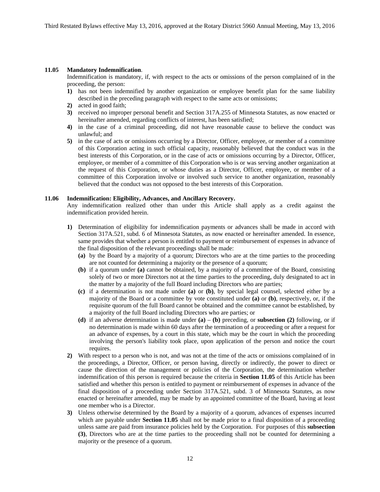#### **11.05 Mandatory Indemnification**.

Indemnification is mandatory, if, with respect to the acts or omissions of the person complained of in the proceeding, the person:

- **1)** has not been indemnified by another organization or employee benefit plan for the same liability described in the preceding paragraph with respect to the same acts or omissions;
- **2)** acted in good faith;
- **3)** received no improper personal benefit and Section 317A.255 of Minnesota Statutes, as now enacted or hereinafter amended, regarding conflicts of interest, has been satisfied;
- **4)** in the case of a criminal proceeding, did not have reasonable cause to believe the conduct was unlawful; and
- **5)** in the case of acts or omissions occurring by a Director, Officer, employee, or member of a committee of this Corporation acting in such official capacity, reasonably believed that the conduct was in the best interests of this Corporation, or in the case of acts or omissions occurring by a Director, Officer, employee, or member of a committee of this Corporation who is or was serving another organization at the request of this Corporation, or whose duties as a Director, Officer, employee, or member of a committee of this Corporation involve or involved such service to another organization, reasonably believed that the conduct was not opposed to the best interests of this Corporation.

#### **11.06 Indemnification: Eligibility, Advances, and Ancillary Recovery.**

Any indemnification realized other than under this Article shall apply as a credit against the indemnification provided herein.

- **1)** Determination of eligibility for indemnification payments or advances shall be made in accord with Section 317A.521, subd. 6 of Minnesota Statutes, as now enacted or hereinafter amended. In essence, same provides that whether a person is entitled to payment or reimbursement of expenses in advance of the final disposition of the relevant proceedings shall be made:
	- **(a)** by the Board by a majority of a quorum; Directors who are at the time parties to the proceeding are not counted for determining a majority or the presence of a quorum;
	- **(b)** if a quorum under **(a)** cannot be obtained, by a majority of a committee of the Board, consisting solely of two or more Directors not at the time parties to the proceeding, duly designated to act in the matter by a majority of the full Board including Directors who are parties;
	- **(c)** if a determination is not made under **(a)** or **(b)**, by special legal counsel, selected either by a majority of the Board or a committee by vote constituted under **(a)** or **(b)**, respectively, or, if the requisite quorum of the full Board cannot be obtained and the committee cannot be established, by a majority of the full Board including Directors who are parties; or
	- **(d)** if an adverse determination is made under **(a) (b)** preceding, or **subsection (2)** following, or if no determination is made within 60 days after the termination of a proceeding or after a request for an advance of expenses, by a court in this state, which may be the court in which the proceeding involving the person's liability took place, upon application of the person and notice the court requires.
- **2)** With respect to a person who is not, and was not at the time of the acts or omissions complained of in the proceedings, a Director, Officer, or person having, directly or indirectly, the power to direct or cause the direction of the management or policies of the Corporation, the determination whether indemnification of this person is required because the criteria in **Section 11.05** of this Article has been satisfied and whether this person is entitled to payment or reimbursement of expenses in advance of the final disposition of a proceeding under Section 317A.521, subd. 3 of Minnesota Statutes, as now enacted or hereinafter amended, may be made by an appointed committee of the Board, having at least one member who is a Director.
- **3)** Unless otherwise determined by the Board by a majority of a quorum, advances of expenses incurred which are payable under **Section 11.05** shall not be made prior to a final disposition of a proceeding unless same are paid from insurance policies held by the Corporation. For purposes of this **subsection (3)**, Directors who are at the time parties to the proceeding shall not be counted for determining a majority or the presence of a quorum.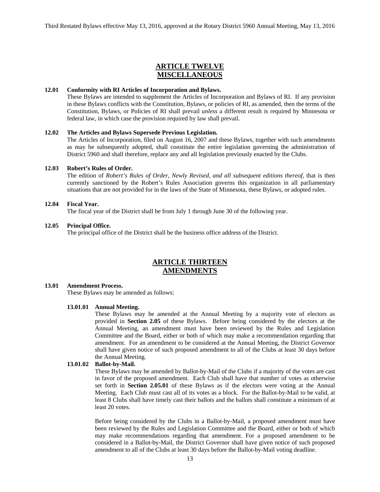# **ARTICLE TWELVE MISCELLANEOUS**

#### **12.01 Conformity with RI Articles of Incorporation and Bylaws.**

These Bylaws are intended to supplement the Articles of Incorporation and Bylaws of RI. If any provision in these Bylaws conflicts with the Constitution, Bylaws, or policies of RI, as amended, then the terms of the Constitution, Bylaws, or Policies of RI shall prevail *unless* a different result is required by Minnesota or federal law, in which case the provision required by law shall prevail.

#### **12.02 The Articles and Bylaws Supersede Previous Legislation.**

The Articles of Incorporation, filed on August 16, 2007 and these Bylaws, together with such amendments as may be subsequently adopted, shall constitute the entire legislation governing the administration of District 5960 and shall therefore, replace any and all legislation previously enacted by the Clubs.

#### **12.03 Robert's Rules of Order.**

The edition of *Robert's Rules of Order, Newly Revised, and all subsequent editions thereof,* that is then currently sanctioned by the Robert's Rules Association governs this organization in all parliamentary situations that are not provided for in the laws of the State of Minnesota, these Bylaws, or adopted rules.

#### **12.04 Fiscal Year.**

The fiscal year of the District shall be from July 1 through June 30 of the following year.

#### **12.05 Principal Office.**

The principal office of the District shall be the business office address of the District.

# **ARTICLE THIRTEEN AMENDMENTS**

#### **13.01 Amendment Process.**

These Bylaws may be amended as follows:

#### **13.01.01 Annual Meeting.**

These Bylaws may be amended at the Annual Meeting by a majority vote of electors as provided in **Section 2.05** of these Bylaws. Before being considered by the electors at the Annual Meeting, an amendment must have been reviewed by the Rules and Legislation Committee and the Board, either or both of which may make a recommendation regarding that amendment. For an amendment to be considered at the Annual Meeting, the District Governor shall have given notice of such proposed amendment to all of the Clubs at least 30 days before the Annual Meeting.

#### **13.01.02 Ballot-by-Mail.**

These Bylaws may be amended by Ballot-by-Mail of the Clubs if a majority of the votes are cast in favor of the proposed amendment. Each Club shall have that number of votes as otherwise set forth in **Section 2.05.01** of these Bylaws as if the electors were voting at the Annual Meeting. Each Club must cast all of its votes as a block. For the Ballot-by-Mail to be valid, at least 8 Clubs shall have timely cast their ballots and the ballots shall constitute a minimum of at least 20 votes.

Before being considered by the Clubs in a Ballot-by-Mail, a proposed amendment must have been reviewed by the Rules and Legislation Committee and the Board, either or both of which may make recommendations regarding that amendment. For a proposed amendment to be considered in a Ballot-by-Mail, the District Governor shall have given notice of such proposed amendment to all of the Clubs at least 30 days before the Ballot-by-Mail voting deadline.